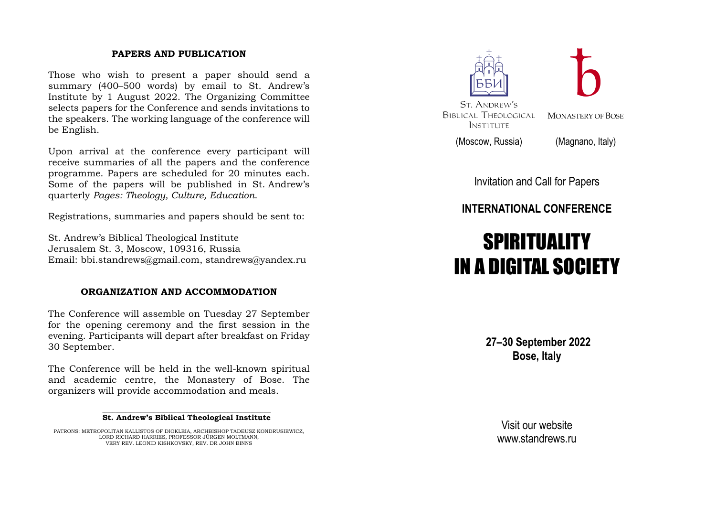## **PAPERS AND PUBLICATION**

Those who wish to present a paper should send a summary (400–500 words) by email to St. Andrew's Institute by 1 August 2022. The Organizing Committee selects papers for the Conference and sends invitations to the speakers. The working language of the conference will be English.

Upon arrival at the conference every participant will receive summaries of all the papers and the conference programme. Papers are scheduled for 20 minutes each. Some of the papers will be published in St. Andrew's quarterly *Pages: Theology, Culture, Education*.

Registrations, summaries and papers should be sent to:

St. Andrew's Biblical Theological Institute Jerusalem St. 3, Moscow, 109316, Russia Email: bbi.standrews@gmail.com, standrews@yandex.ru

## **ORGANIZATION AND ACCOMMODATION**

The Conference will assemble on Tuesday 27 September for the opening ceremony and the first session in the evening. Participants will depart after breakfast on Friday 30 September.

The Conference will be held in the well-known spiritual and academic centre, the Monastery of Bose. The organizers will provide accommodation and meals.

#### $\overline{\phantom{a}}$  , and the contract of the contract of the contract of the contract of the contract of the contract of the contract of the contract of the contract of the contract of the contract of the contract of the contrac **St. Andrew's Biblical Theological Institute**

PATRONS: METROPOLITAN KALLISTOS OF DIOKLEIA, ARCHBISHOP TADEUSZ KONDRUSIEWICZ, LORD RICHARD HARRIES, PROFESSOR JÜRGEN MOLTMANN, VERY REV. LEONID KISHKOVSKY, REV. DR JOHN BINNS



(Moscow, Russia) (Magnano, Italy)

Invitation and Call for Papers

# **INTERNATIONAL CONFERENCE**

# **SPIRITUALITY** IN A DIGITAL SOCIETY

**27–30 September 2022 Bose, Italy**

> Visit our website www.standrews.ru